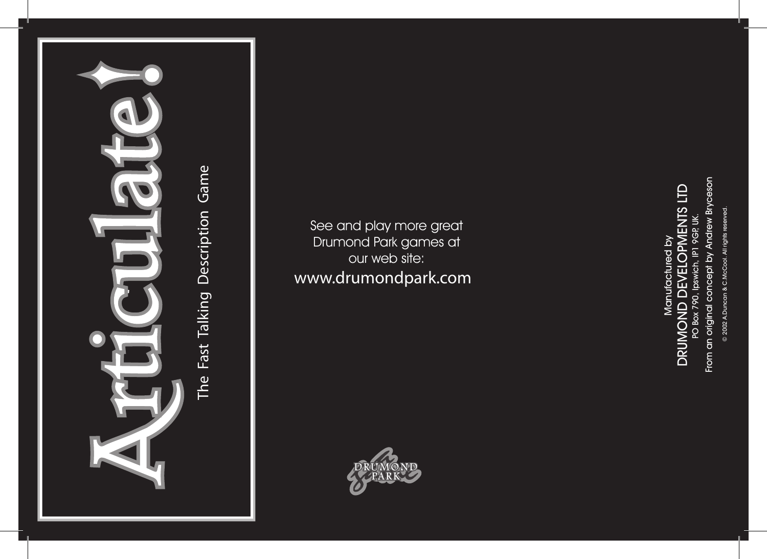

See and play more great Drumond Park games at our web site: www.drumondpark.com



From an original concept by Andrew Bryceson From an original concept by Andrew Bryceson DRUMOND DEVELOPMENTS LTD DRUMOND DEVELOPMENTS LTD PO Box 790, Ipswich, IP1 9GP, UK. PO Box 790, Ipswich, IP1 9GP, UK. Manufactured by Manufactured by

2002 A.Duncan & C.McCool. All rights reserved. © 2002 A.Duncan & C.McCool. All rights reserved.